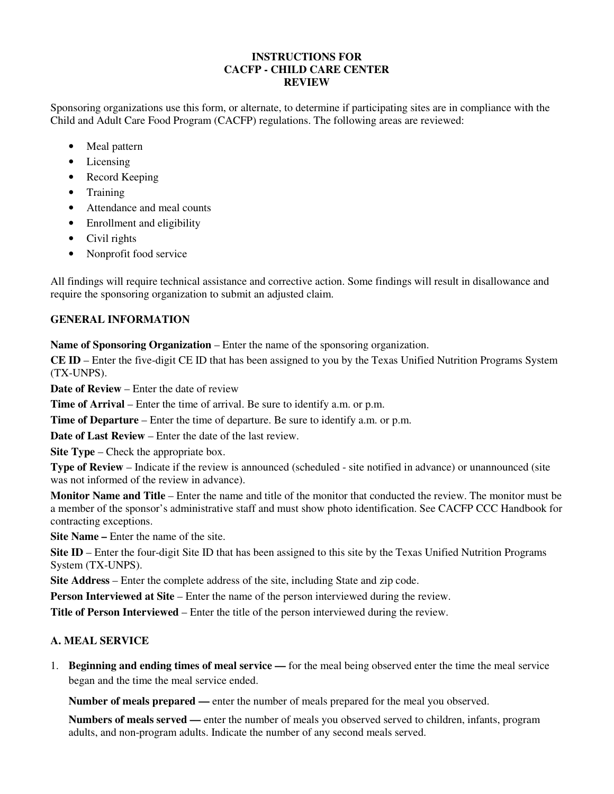### **INSTRUCTIONS FOR CACFP - CHILD CARE CENTER REVIEW**

Sponsoring organizations use this form, or alternate, to determine if participating sites are in compliance with the Child and Adult Care Food Program (CACFP) regulations. The following areas are reviewed:

- Meal pattern
- Licensing
- Record Keeping
- Training
- Attendance and meal counts
- Enrollment and eligibility
- Civil rights
- Nonprofit food service

All findings will require technical assistance and corrective action. Some findings will result in disallowance and require the sponsoring organization to submit an adjusted claim.

### **GENERAL INFORMATION**

**Name of Sponsoring Organization** – Enter the name of the sponsoring organization.

**CE ID** – Enter the five-digit CE ID that has been assigned to you by the Texas Unified Nutrition Programs System (TX-UNPS).

**Date of Review** – Enter the date of review

**Time of Arrival** – Enter the time of arrival. Be sure to identify a.m. or p.m.

**Time of Departure** – Enter the time of departure. Be sure to identify a.m. or p.m.

**Date of Last Review** – Enter the date of the last review.

**Site Type – Check the appropriate box.** 

**Type of Review** – Indicate if the review is announced (scheduled - site notified in advance) or unannounced (site was not informed of the review in advance).

**Monitor Name and Title** – Enter the name and title of the monitor that conducted the review. The monitor must be a member of the sponsor's administrative staff and must show photo identification. See CACFP CCC Handbook for contracting exceptions.

**Site Name –** Enter the name of the site.

**Site ID** – Enter the four-digit Site ID that has been assigned to this site by the Texas Unified Nutrition Programs System (TX-UNPS).

**Site Address** – Enter the complete address of the site, including State and zip code.

**Person Interviewed at Site** – Enter the name of the person interviewed during the review.

**Title of Person Interviewed** – Enter the title of the person interviewed during the review.

### **A. MEAL SERVICE**

1. **Beginning and ending times of meal service —** for the meal being observed enter the time the meal service began and the time the meal service ended.

**Number of meals prepared —** enter the number of meals prepared for the meal you observed.

**Numbers of meals served —** enter the number of meals you observed served to children, infants, program adults, and non-program adults. Indicate the number of any second meals served.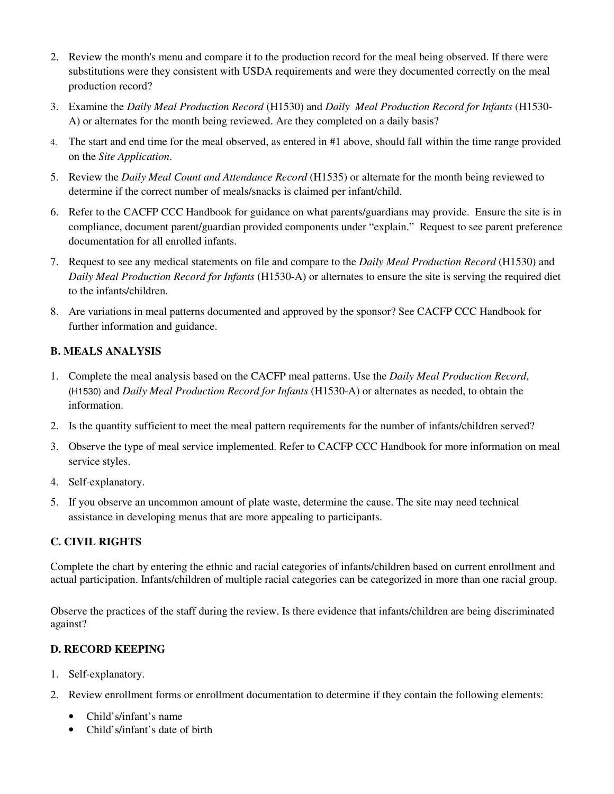- 2. Review the month's menu and compare it to the production record for the meal being observed. If there were substitutions were they consistent with USDA requirements and were they documented correctly on the meal production record?
- 3. Examine the *Daily Meal Production Record* (H1530) and *Daily Meal Production Record for Infants* (H1530- A) or alternates for the month being reviewed. Are they completed on a daily basis?
- 4. The start and end time for the meal observed, as entered in #1 above, should fall within the time range provided on the *Site Application*.
- 5. Review the *Daily Meal Count and Attendance Record* (H1535) or alternate for the month being reviewed to determine if the correct number of meals/snacks is claimed per infant/child.
- 6. Refer to the CACFP CCC Handbook for guidance on what parents/guardians may provide. Ensure the site is in compliance, document parent/guardian provided components under "explain." Request to see parent preference documentation for all enrolled infants.
- 7. Request to see any medical statements on file and compare to the *Daily Meal Production Record* (H1530) and *Daily Meal Production Record for Infants* (H1530-A) or alternates to ensure the site is serving the required diet to the infants/children.
- 8. Are variations in meal patterns documented and approved by the sponsor? See CACFP CCC Handbook for further information and guidance.

### **B. MEALS ANALYSIS**

- 1. Complete the meal analysis based on the CACFP meal patterns. Use the *Daily Meal Production Record*, (H1530) and *Daily Meal Production Record for Infants* (H1530-A) or alternates as needed, to obtain the information.
- 2. Is the quantity sufficient to meet the meal pattern requirements for the number of infants/children served?
- 3. Observe the type of meal service implemented. Refer to CACFP CCC Handbook for more information on meal service styles.
- 4. Self-explanatory.
- 5. If you observe an uncommon amount of plate waste, determine the cause. The site may need technical assistance in developing menus that are more appealing to participants.

### **C. CIVIL RIGHTS**

Complete the chart by entering the ethnic and racial categories of infants/children based on current enrollment and actual participation. Infants/children of multiple racial categories can be categorized in more than one racial group.

Observe the practices of the staff during the review. Is there evidence that infants/children are being discriminated against?

### **D. RECORD KEEPING**

- 1. Self-explanatory.
- 2. Review enrollment forms or enrollment documentation to determine if they contain the following elements:
	- Child's/infant's name
	- Child's/infant's date of birth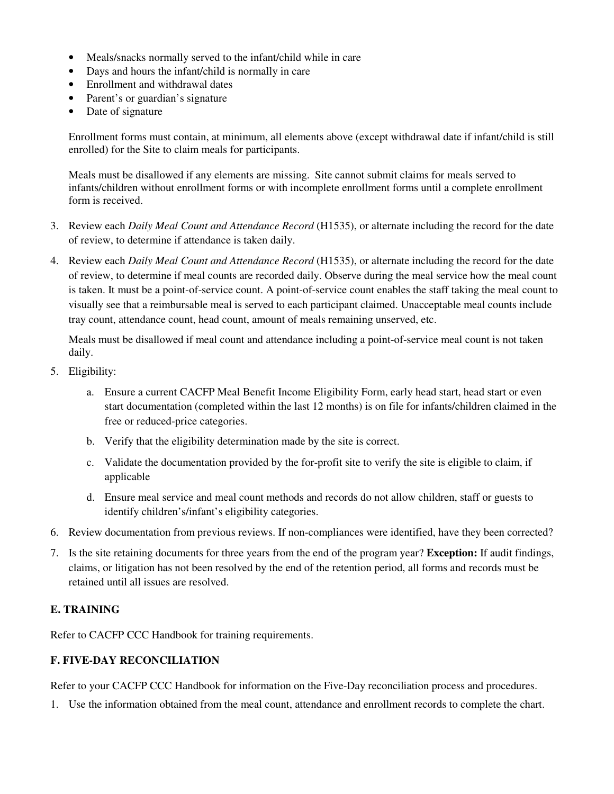- Meals/snacks normally served to the infant/child while in care
- Days and hours the infant/child is normally in care
- Enrollment and withdrawal dates
- Parent's or guardian's signature
- Date of signature

Enrollment forms must contain, at minimum, all elements above (except withdrawal date if infant/child is still enrolled) for the Site to claim meals for participants.

Meals must be disallowed if any elements are missing. Site cannot submit claims for meals served to infants/children without enrollment forms or with incomplete enrollment forms until a complete enrollment form is received.

- 3. Review each *Daily Meal Count and Attendance Record* (H1535), or alternate including the record for the date of review, to determine if attendance is taken daily.
- 4. Review each *Daily Meal Count and Attendance Record* (H1535), or alternate including the record for the date of review, to determine if meal counts are recorded daily. Observe during the meal service how the meal count is taken. It must be a point-of-service count. A point-of-service count enables the staff taking the meal count to visually see that a reimbursable meal is served to each participant claimed. Unacceptable meal counts include tray count, attendance count, head count, amount of meals remaining unserved, etc.

Meals must be disallowed if meal count and attendance including a point-of-service meal count is not taken daily.

- 5. Eligibility:
	- a. Ensure a current CACFP Meal Benefit Income Eligibility Form, early head start, head start or even start documentation (completed within the last 12 months) is on file for infants/children claimed in the free or reduced-price categories.
	- b. Verify that the eligibility determination made by the site is correct.
	- c. Validate the documentation provided by the for-profit site to verify the site is eligible to claim, if applicable
	- d. Ensure meal service and meal count methods and records do not allow children, staff or guests to identify children's/infant's eligibility categories.
- 6. Review documentation from previous reviews. If non-compliances were identified, have they been corrected?
- 7. Is the site retaining documents for three years from the end of the program year? **Exception:** If audit findings, claims, or litigation has not been resolved by the end of the retention period, all forms and records must be retained until all issues are resolved.

### **E. TRAINING**

Refer to CACFP CCC Handbook for training requirements.

### **F. FIVE-DAY RECONCILIATION**

Refer to your CACFP CCC Handbook for information on the Five-Day reconciliation process and procedures.

1. Use the information obtained from the meal count, attendance and enrollment records to complete the chart.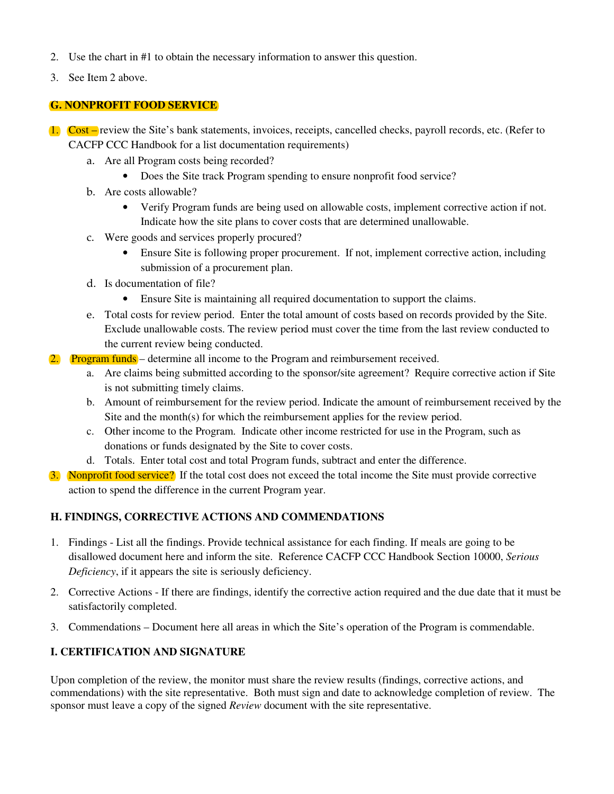- 2. Use the chart in #1 to obtain the necessary information to answer this question.
- 3. See Item 2 above.

#### **G. NONPROFIT FOOD SERVICE**

- 1. Cost review the Site's bank statements, invoices, receipts, cancelled checks, payroll records, etc. (Refer to CACFP CCC Handbook for a list documentation requirements)
	- a. Are all Program costs being recorded?
		- Does the Site track Program spending to ensure nonprofit food service?
	- b. Are costs allowable?
		- Verify Program funds are being used on allowable costs, implement corrective action if not. Indicate how the site plans to cover costs that are determined unallowable.
	- c. Were goods and services properly procured?
		- Ensure Site is following proper procurement. If not, implement corrective action, including submission of a procurement plan.
	- d. Is documentation of file?
		- Ensure Site is maintaining all required documentation to support the claims.
	- e. Total costs for review period. Enter the total amount of costs based on records provided by the Site. Exclude unallowable costs. The review period must cover the time from the last review conducted to the current review being conducted.
- **Program funds** determine all income to the Program and reimbursement received.
	- a. Are claims being submitted according to the sponsor/site agreement? Require corrective action if Site is not submitting timely claims.
	- b. Amount of reimbursement for the review period. Indicate the amount of reimbursement received by the Site and the month(s) for which the reimbursement applies for the review period.
	- c. Other income to the Program. Indicate other income restricted for use in the Program, such as donations or funds designated by the Site to cover costs.
	- d. Totals. Enter total cost and total Program funds, subtract and enter the difference.
- 3. Nonprofit food service? If the total cost does not exceed the total income the Site must provide corrective action to spend the difference in the current Program year.

### **H. FINDINGS, CORRECTIVE ACTIONS AND COMMENDATIONS**

- 1. Findings List all the findings. Provide technical assistance for each finding. If meals are going to be disallowed document here and inform the site. Reference CACFP CCC Handbook Section 10000, *Serious Deficiency*, if it appears the site is seriously deficiency.
- 2. Corrective Actions If there are findings, identify the corrective action required and the due date that it must be satisfactorily completed.
- 3. Commendations Document here all areas in which the Site's operation of the Program is commendable.

### **I. CERTIFICATION AND SIGNATURE**

Upon completion of the review, the monitor must share the review results (findings, corrective actions, and commendations) with the site representative. Both must sign and date to acknowledge completion of review. The sponsor must leave a copy of the signed *Review* document with the site representative.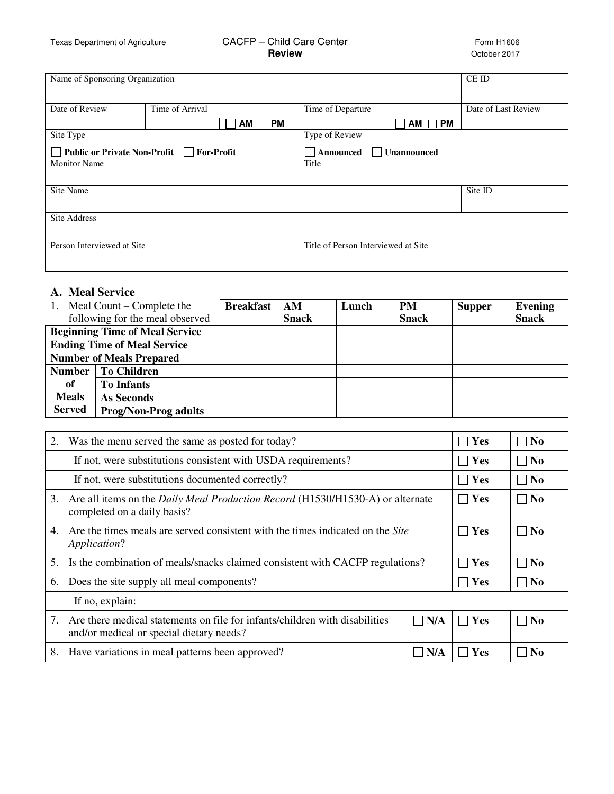# Texas Department of Agriculture CACFP – Child Care Center Form H1606<br>Cacipe **Review Review** Cotober 2017

**Review** October 2017

| Name of Sponsoring Organization     | CE ID             |                                     |                     |
|-------------------------------------|-------------------|-------------------------------------|---------------------|
|                                     |                   |                                     |                     |
| Date of Review                      | Time of Arrival   | Time of Departure                   | Date of Last Review |
|                                     | $AM \Box PM$      | $AM \Box PM$                        |                     |
| Site Type                           |                   | Type of Review                      |                     |
| <b>Public or Private Non-Profit</b> | <b>For-Profit</b> | <b>Unannounced</b><br>Announced     |                     |
| <b>Monitor Name</b>                 |                   | Title                               |                     |
|                                     |                   |                                     |                     |
| Site Name                           |                   |                                     | Site ID             |
|                                     |                   |                                     |                     |
| <b>Site Address</b>                 |                   |                                     |                     |
|                                     |                   |                                     |                     |
| Person Interviewed at Site          |                   | Title of Person Interviewed at Site |                     |
|                                     |                   |                                     |                     |
|                                     |                   |                                     |                     |

# **A. Meal Service**

|                                       | Meal Count – Complete the       |  | AM           | Lunch | <b>PM</b>    | <b>Supper</b> | <b>Evening</b> |
|---------------------------------------|---------------------------------|--|--------------|-------|--------------|---------------|----------------|
|                                       | following for the meal observed |  | <b>Snack</b> |       | <b>Snack</b> |               | <b>Snack</b>   |
| <b>Beginning Time of Meal Service</b> |                                 |  |              |       |              |               |                |
| <b>Ending Time of Meal Service</b>    |                                 |  |              |       |              |               |                |
| <b>Number of Meals Prepared</b>       |                                 |  |              |       |              |               |                |
| <b>Number</b>                         | <b>To Children</b>              |  |              |       |              |               |                |
| of                                    | <b>To Infants</b>               |  |              |       |              |               |                |
| <b>Meals</b>                          | As Seconds                      |  |              |       |              |               |                |
| <b>Served</b>                         | <b>Prog/Non-Prog adults</b>     |  |              |       |              |               |                |

| 2. | Was the menu served the same as posted for today?                                                                       | Yes | $\Box$ No      |                   |
|----|-------------------------------------------------------------------------------------------------------------------------|-----|----------------|-------------------|
|    | If not, were substitutions consistent with USDA requirements?                                                           |     | Yes            | $\blacksquare$ No |
|    | If not, were substitutions documented correctly?                                                                        |     | Yes            | $\Box$ No         |
| 3. | Are all items on the <i>Daily Meal Production Record</i> (H1530/H1530-A) or alternate<br>completed on a daily basis?    | Yes | $\Box$ No      |                   |
| 4. | Are the times meals are served consistent with the times indicated on the Site<br>Application?                          | Yes | $\Box$ No      |                   |
| 5. | Is the combination of meals/snacks claimed consistent with CACFP regulations?                                           |     | <b>Yes</b>     | No                |
| 6. | Does the site supply all meal components?                                                                               |     | Yes            | $\Box$ No         |
|    | If no, explain:                                                                                                         |     |                |                   |
| 7. | Are there medical statements on file for infants/children with disabilities<br>and/or medical or special dietary needs? | Yes | $\neg$ No      |                   |
| 8. | Have variations in meal patterns been approved?                                                                         | Yes | N <sub>0</sub> |                   |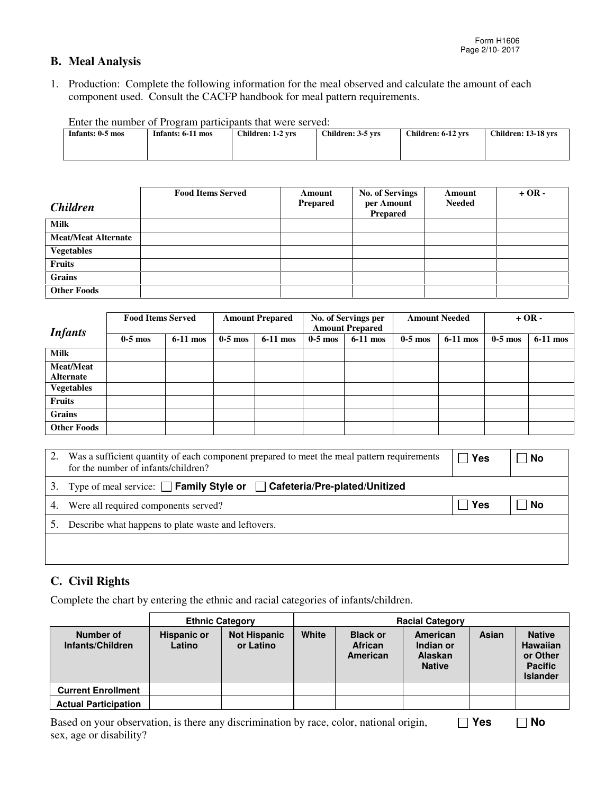### **B. Meal Analysis**

1. Production: Complete the following information for the meal observed and calculate the amount of each component used. Consult the CACFP handbook for meal pattern requirements.

| Enter the number of Program participants that were served: |                   |                   |                   |                    |                     |  |  |  |  |  |
|------------------------------------------------------------|-------------------|-------------------|-------------------|--------------------|---------------------|--|--|--|--|--|
| Infants: 0-5 mos                                           | Infants: 6-11 mos | Children: 1-2 vrs | Children: 3-5 vrs | Children: 6-12 vrs | Children: 13-18 vrs |  |  |  |  |  |
|                                                            |                   |                   |                   |                    |                     |  |  |  |  |  |
|                                                            |                   |                   |                   |                    |                     |  |  |  |  |  |
|                                                            |                   |                   |                   |                    |                     |  |  |  |  |  |

Enter the number of Program participants that were served:

| <i><b>Children</b></i>     | <b>Food Items Served</b> | Amount<br>Prepared | <b>No. of Servings</b><br>per Amount | Amount<br><b>Needed</b> | $+OR -$ |
|----------------------------|--------------------------|--------------------|--------------------------------------|-------------------------|---------|
|                            |                          |                    | <b>Prepared</b>                      |                         |         |
| <b>Milk</b>                |                          |                    |                                      |                         |         |
| <b>Meat/Meat Alternate</b> |                          |                    |                                      |                         |         |
| <b>Vegetables</b>          |                          |                    |                                      |                         |         |
| Fruits                     |                          |                    |                                      |                         |         |
| Grains                     |                          |                    |                                      |                         |         |
| <b>Other Foods</b>         |                          |                    |                                      |                         |         |

| <b>Infants</b>     | <b>Food Items Served</b> |            | <b>Amount Prepared</b> |            | No. of Servings per<br><b>Amount Prepared</b> |            | <b>Amount Needed</b> |            | $+OR -$   |            |
|--------------------|--------------------------|------------|------------------------|------------|-----------------------------------------------|------------|----------------------|------------|-----------|------------|
|                    | $0-5$ mos                | $6-11$ mos | $0-5$ mos              | $6-11$ mos | $0-5$ mos                                     | $6-11$ mos | $0-5$ mos            | $6-11$ mos | $0-5$ mos | $6-11$ mos |
| <b>Milk</b>        |                          |            |                        |            |                                               |            |                      |            |           |            |
| <b>Meat/Meat</b>   |                          |            |                        |            |                                               |            |                      |            |           |            |
| <b>Alternate</b>   |                          |            |                        |            |                                               |            |                      |            |           |            |
| <b>Vegetables</b>  |                          |            |                        |            |                                               |            |                      |            |           |            |
| <b>Fruits</b>      |                          |            |                        |            |                                               |            |                      |            |           |            |
| <b>Grains</b>      |                          |            |                        |            |                                               |            |                      |            |           |            |
| <b>Other Foods</b> |                          |            |                        |            |                                               |            |                      |            |           |            |

| 2. | Was a sufficient quantity of each component prepared to meet the meal pattern requirements<br>for the number of infants/children? | Yes | l No |
|----|-----------------------------------------------------------------------------------------------------------------------------------|-----|------|
| 3. | Type of meal service: □ Family Style or □ Cafeteria/Pre-plated/Unitized                                                           |     |      |
| 4. | Were all required components served?                                                                                              | Yes | No   |
|    | Describe what happens to plate waste and leftovers.                                                                               |     |      |
|    |                                                                                                                                   |     |      |
|    |                                                                                                                                   |     |      |

### **C. Civil Rights**

Complete the chart by entering the ethnic and racial categories of infants/children.

|                               | <b>Ethnic Category</b>       |                                  |       | <b>Racial Category</b>                 |                                                          |       |                                                                                   |  |
|-------------------------------|------------------------------|----------------------------------|-------|----------------------------------------|----------------------------------------------------------|-------|-----------------------------------------------------------------------------------|--|
| Number of<br>Infants/Children | <b>Hispanic or</b><br>Latino | <b>Not Hispanic</b><br>or Latino | White | <b>Black or</b><br>African<br>American | American<br>Indian or<br><b>Alaskan</b><br><b>Native</b> | Asian | <b>Native</b><br><b>Hawaiian</b><br>or Other<br><b>Pacific</b><br><b>Islander</b> |  |
| <b>Current Enrollment</b>     |                              |                                  |       |                                        |                                                          |       |                                                                                   |  |
| <b>Actual Participation</b>   |                              |                                  |       |                                        |                                                          |       |                                                                                   |  |

Based on your observation, is there any discrimination by race, color, national origin, sex, age or disability?  **Yes No**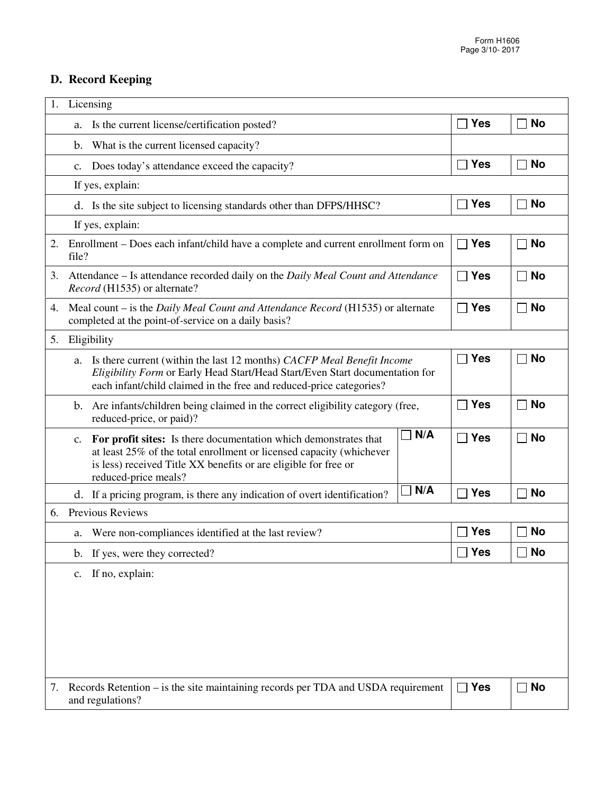# **D. Record Keeping**

| Licensing<br>1.                                                                                                                                                                                                                                  |                             |             |
|--------------------------------------------------------------------------------------------------------------------------------------------------------------------------------------------------------------------------------------------------|-----------------------------|-------------|
| Is the current license/certification posted?<br>a.                                                                                                                                                                                               | <b>Yes</b>                  | No          |
| b.<br>What is the current licensed capacity?                                                                                                                                                                                                     |                             |             |
| Does today's attendance exceed the capacity?<br>C.                                                                                                                                                                                               | $\Box$ Yes                  | No          |
| If yes, explain:                                                                                                                                                                                                                                 |                             |             |
| d. Is the site subject to licensing standards other than DFPS/HHSC?                                                                                                                                                                              | <b>Yes</b><br>$\mathcal{L}$ | No          |
| If yes, explain:                                                                                                                                                                                                                                 |                             |             |
| 2.<br>Enrollment – Does each infant/child have a complete and current enrollment form on<br>file?                                                                                                                                                | <b>Yes</b><br>$\mathsf{L}$  | No          |
| Attendance – Is attendance recorded daily on the Daily Meal Count and Attendance<br>3.<br>Record (H1535) or alternate?                                                                                                                           | $\Box$ Yes                  | No          |
| Meal count – is the <i>Daily Meal Count and Attendance Record</i> (H1535) or alternate<br>4.<br>completed at the point-of-service on a daily basis?                                                                                              | $\Box$ Yes                  | $\sqcap$ No |
| Eligibility<br>5.                                                                                                                                                                                                                                |                             |             |
| Is there current (within the last 12 months) CACFP Meal Benefit Income<br>a.<br>Eligibility Form or Early Head Start/Head Start/Even Start documentation for<br>each infant/child claimed in the free and reduced-price categories?              | <b>Yes</b>                  | No          |
| b. Are infants/children being claimed in the correct eligibility category (free,<br>reduced-price, or paid)?                                                                                                                                     | <b>Yes</b><br>$\mathsf{L}$  | No          |
| N/A<br>For profit sites: Is there documentation which demonstrates that<br>C.<br>at least 25% of the total enrollment or licensed capacity (whichever<br>is less) received Title XX benefits or are eligible for free or<br>reduced-price meals? | $\Box$ Yes                  | No          |
| N/A<br>d. If a pricing program, is there any indication of overt identification?                                                                                                                                                                 | <b>Yes</b>                  | No          |
| <b>Previous Reviews</b><br>6.                                                                                                                                                                                                                    |                             |             |
| Were non-compliances identified at the last review?<br>a.                                                                                                                                                                                        | <b>Yes</b>                  | No          |
| If yes, were they corrected?<br>b.                                                                                                                                                                                                               | <b>Yes</b>                  | No          |
| If no, explain:<br>C.                                                                                                                                                                                                                            |                             |             |
|                                                                                                                                                                                                                                                  |                             |             |
|                                                                                                                                                                                                                                                  |                             |             |
|                                                                                                                                                                                                                                                  |                             |             |
|                                                                                                                                                                                                                                                  |                             |             |
| Records Retention – is the site maintaining records per TDA and USDA requirement<br>7.<br>and regulations?                                                                                                                                       | <b>Yes</b><br>$\perp$       | No          |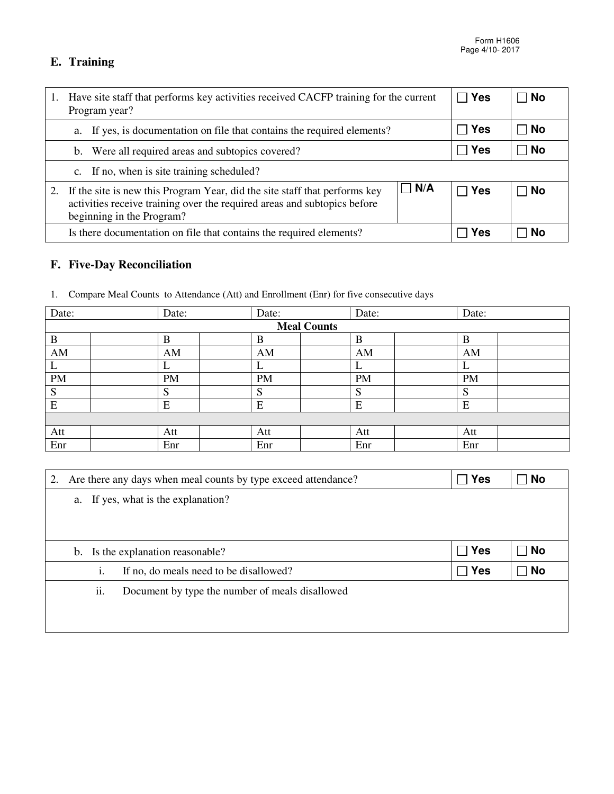## **E. Training**

| Have site staff that performs key activities received CACFP training for the current<br>Program year?                                                                                             | $\Box$ Yes | <b>No</b> |
|---------------------------------------------------------------------------------------------------------------------------------------------------------------------------------------------------|------------|-----------|
| a. If yes, is documentation on file that contains the required elements?                                                                                                                          | ∣ Yes      | No        |
| b. Were all required areas and subtopics covered?                                                                                                                                                 | ∣ Yes      | . No      |
| If no, when is site training scheduled?<br>C.                                                                                                                                                     |            |           |
| $\Box$ N/A<br>If the site is new this Program Year, did the site staff that performs key<br>activities receive training over the required areas and subtopics before<br>beginning in the Program? | ∣ Yes      | . No      |
| Is there documentation on file that contains the required elements?                                                                                                                               | Yes        | No        |

# **F. Five-Day Reconciliation**

| Date:              |  | Date: |  | Date: |  | Date: |  | Date: |
|--------------------|--|-------|--|-------|--|-------|--|-------|
| <b>Meal Counts</b> |  |       |  |       |  |       |  |       |
| B                  |  |       |  |       |  |       |  |       |
| AM                 |  | AM    |  | AM    |  | AM    |  | AM    |

L L L L L PM PM PM PM PM PM PM S S S S S  $E$   $|E|$   $|E|$   $|E|$   $|E|$   $|E|$   $|E|$ 

Att | Att | Att | Att | Att | Att | Att Enr | Enr | Enr | Enr | Enr | Enr

|  | Compare Meal Counts to Attendance (Att) and Enrollment (Enr) for five consecutive days |  |  |  |  |
|--|----------------------------------------------------------------------------------------|--|--|--|--|
|--|----------------------------------------------------------------------------------------|--|--|--|--|

| 2. | Are there any days when meal counts by type exceed attendance? |                                                 | $\sqcap$ Yes | ∃ No      |
|----|----------------------------------------------------------------|-------------------------------------------------|--------------|-----------|
|    | a. If yes, what is the explanation?                            |                                                 |              |           |
|    |                                                                |                                                 |              |           |
|    |                                                                |                                                 |              |           |
|    | Is the explanation reasonable?<br>b.                           |                                                 | $\Box$ Yes   | ∃ No      |
|    | 1.                                                             | If no, do meals need to be disallowed?          | $\Box$ Yes   | <b>No</b> |
|    | ii.                                                            | Document by type the number of meals disallowed |              |           |
|    |                                                                |                                                 |              |           |
|    |                                                                |                                                 |              |           |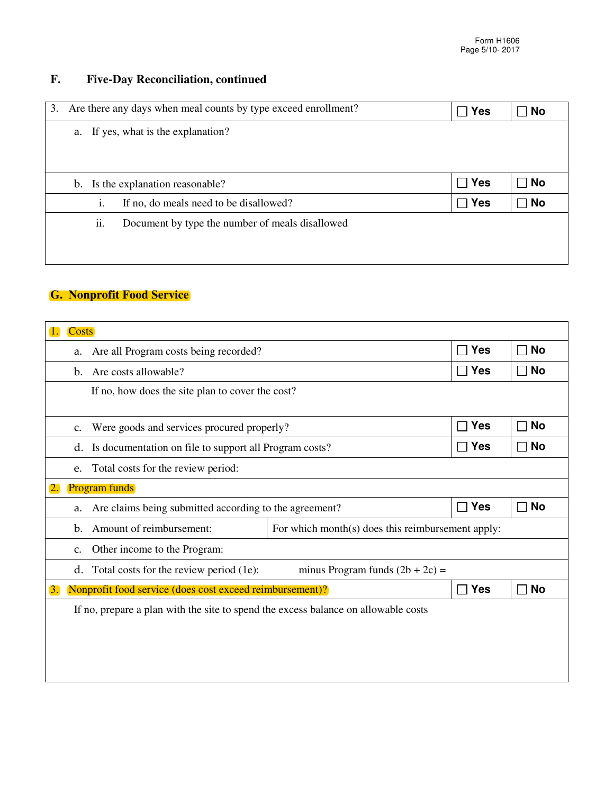# **F. Five-Day Reconciliation, continued**

| Are there any days when meal counts by type exceed enrollment?<br>3. | <b>Yes</b> | No |
|----------------------------------------------------------------------|------------|----|
| If yes, what is the explanation?<br>a.                               |            |    |
|                                                                      |            |    |
|                                                                      |            |    |
| Is the explanation reasonable?<br>b.                                 | Yes        | No |
| If no, do meals need to be disallowed?<br>1.                         | <b>Yes</b> | No |
| ii.<br>Document by type the number of meals disallowed               |            |    |
|                                                                      |            |    |
|                                                                      |            |    |

### **G. Nonprofit Food Service**

| <b>Costs</b><br>1.                                                                 |                                                                               |                              |                                                                                                               |                          |  |  |  |  |  |
|------------------------------------------------------------------------------------|-------------------------------------------------------------------------------|------------------------------|---------------------------------------------------------------------------------------------------------------|--------------------------|--|--|--|--|--|
| a.                                                                                 | Are all Program costs being recorded?                                         | <b>Yes</b><br>$\blacksquare$ | No                                                                                                            |                          |  |  |  |  |  |
| $\mathbf{b}$ .                                                                     | Are costs allowable?                                                          | <b>Yes</b>                   | <b>No</b>                                                                                                     |                          |  |  |  |  |  |
| If no, how does the site plan to cover the cost?                                   |                                                                               |                              |                                                                                                               |                          |  |  |  |  |  |
| $C_{\bullet}$                                                                      |                                                                               | <b>Yes</b>                   | <b>No</b>                                                                                                     |                          |  |  |  |  |  |
| d.                                                                                 | Is documentation on file to support all Program costs?                        |                              |                                                                                                               | <b>No</b>                |  |  |  |  |  |
| Total costs for the review period:<br>e.                                           |                                                                               |                              |                                                                                                               |                          |  |  |  |  |  |
| <b>Program funds</b><br>2.                                                         |                                                                               |                              |                                                                                                               |                          |  |  |  |  |  |
| a.                                                                                 | Are claims being submitted according to the agreement?                        |                              |                                                                                                               | <b>No</b>                |  |  |  |  |  |
| $\mathbf{b}$ .                                                                     | Amount of reimbursement:<br>For which month(s) does this reimbursement apply: |                              |                                                                                                               |                          |  |  |  |  |  |
| Other income to the Program:<br>$C_{\bullet}$                                      |                                                                               |                              |                                                                                                               |                          |  |  |  |  |  |
| Total costs for the review period (1e):<br>minus Program funds $(2b + 2c)$ =<br>d. |                                                                               |                              |                                                                                                               |                          |  |  |  |  |  |
|                                                                                    |                                                                               | <b>Yes</b>                   | <b>No</b>                                                                                                     |                          |  |  |  |  |  |
| If no, prepare a plan with the site to spend the excess balance on allowable costs |                                                                               |                              |                                                                                                               |                          |  |  |  |  |  |
|                                                                                    |                                                                               |                              |                                                                                                               |                          |  |  |  |  |  |
|                                                                                    |                                                                               |                              |                                                                                                               |                          |  |  |  |  |  |
|                                                                                    |                                                                               |                              |                                                                                                               |                          |  |  |  |  |  |
|                                                                                    |                                                                               |                              | Were goods and services procured properly?<br><b>Nonprofit food service (does cost exceed reimbursement)?</b> | <b>Yes</b><br><b>Yes</b> |  |  |  |  |  |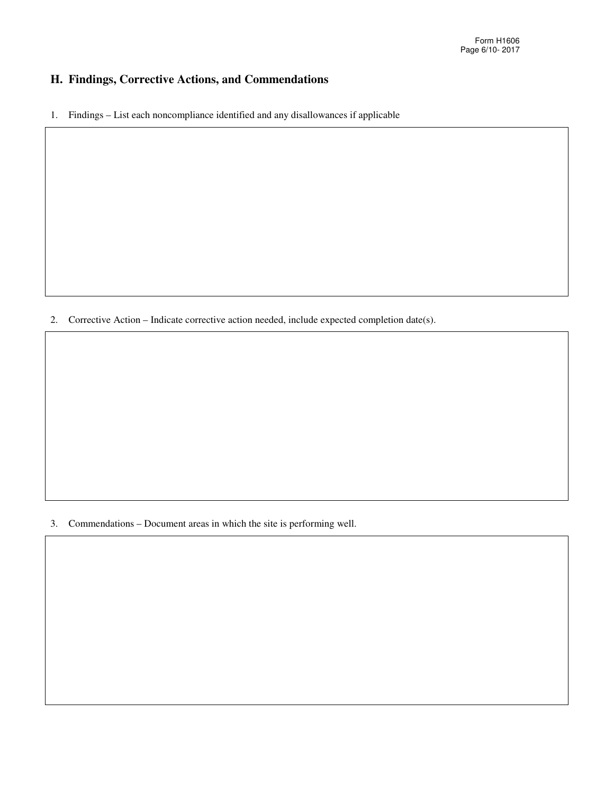### **H. Findings, Corrective Actions, and Commendations**

1. Findings – List each noncompliance identified and any disallowances if applicable

2. Corrective Action – Indicate corrective action needed, include expected completion date(s).

3. Commendations – Document areas in which the site is performing well.